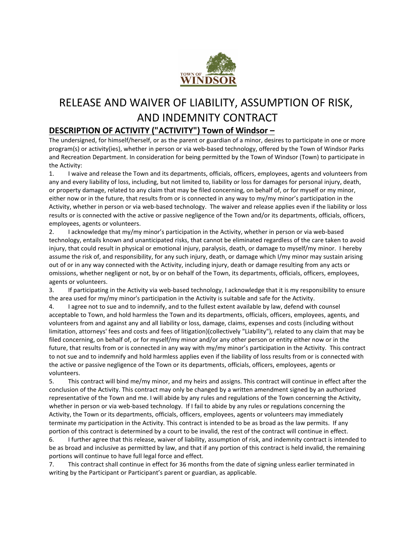

## RELEASE AND WAIVER OF LIABILITY, ASSUMPTION OF RISK, AND INDEMNITY CONTRACT

## **DESCRIPTION OF ACTIVITY ("ACTIVITY") Town of Windsor –**

The undersigned, for himself/herself, or as the parent or guardian of a minor, desires to participate in one or more program(s) or activity(ies), whether in person or via web-based technology, offered by the Town of Windsor Parks and Recreation Department. In consideration for being permitted by the Town of Windsor (Town) to participate in the Activity:

1. I waive and release the Town and its departments, officials, officers, employees, agents and volunteers from any and every liability of loss, including, but not limited to, liability or loss for damages for personal injury, death, or property damage, related to any claim that may be filed concerning, on behalf of, or for myself or my minor, either now or in the future, that results from or is connected in any way to my/my minor's participation in the Activity, whether in person or via web-based technology. The waiver and release applies even if the liability or loss results or is connected with the active or passive negligence of the Town and/or its departments, officials, officers, employees, agents or volunteers.

2. I acknowledge that my/my minor's participation in the Activity, whether in person or via web-based technology, entails known and unanticipated risks, that cannot be eliminated regardless of the care taken to avoid injury, that could result in physical or emotional injury, paralysis, death, or damage to myself/my minor. I hereby assume the risk of, and responsibility, for any such injury, death, or damage which I/my minor may sustain arising out of or in any way connected with the Activity, including injury, death or damage resulting from any acts or omissions, whether negligent or not, by or on behalf of the Town, its departments, officials, officers, employees, agents or volunteers.

3. If participating in the Activity via web-based technology, I acknowledge that it is my responsibility to ensure the area used for my/my minor's participation in the Activity is suitable and safe for the Activity.

4. I agree not to sue and to indemnify, and to the fullest extent available by law, defend with counsel acceptable to Town, and hold harmless the Town and its departments, officials, officers, employees, agents, and volunteers from and against any and all liability or loss, damage, claims, expenses and costs (including without limitation, attorneys' fees and costs and fees of litigation)(collectively "Liability"), related to any claim that may be filed concerning, on behalf of, or for myself/my minor and/or any other person or entity either now or in the future, that results from or is connected in any way with my/my minor's participation in the Activity. This contract to not sue and to indemnify and hold harmless applies even if the liability of loss results from or is connected with the active or passive negligence of the Town or its departments, officials, officers, employees, agents or volunteers.

5. This contract will bind me/my minor, and my heirs and assigns. This contract will continue in effect after the conclusion of the Activity. This contract may only be changed by a written amendment signed by an authorized representative of the Town and me. I will abide by any rules and regulations of the Town concerning the Activity, whether in person or via web-based technology. If I fail to abide by any rules or regulations concerning the Activity, the Town or its departments, officials, officers, employees, agents or volunteers may immediately terminate my participation in the Activity. This contract is intended to be as broad as the law permits. If any portion of this contract is determined by a court to be invalid, the rest of the contract will continue in effect.

6. I further agree that this release, waiver of liability, assumption of risk, and indemnity contract is intended to be as broad and inclusive as permitted by law, and that if any portion of this contract is held invalid, the remaining portions will continue to have full legal force and effect.

7. This contract shall continue in effect for 36 months from the date of signing unless earlier terminated in writing by the Participant or Participant's parent or guardian, as applicable.